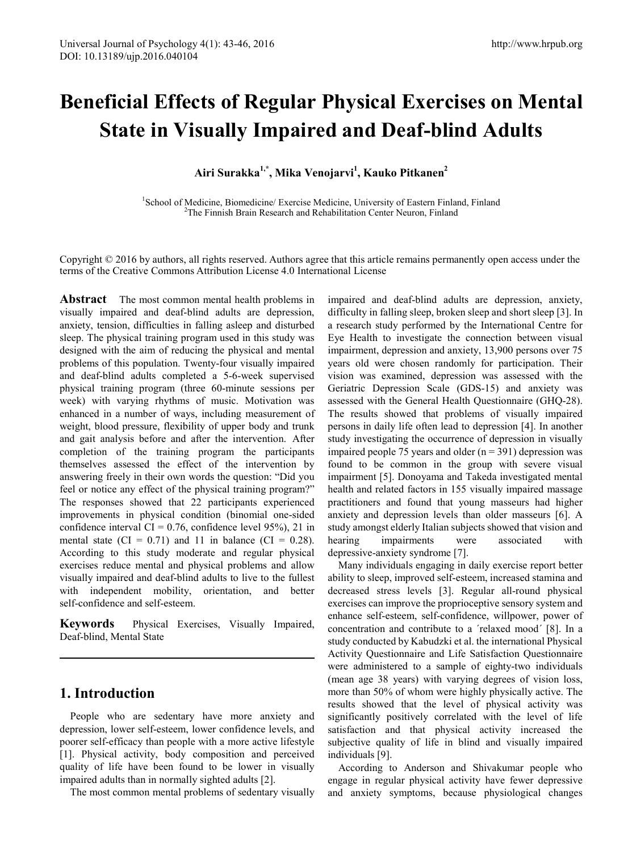# **Beneficial Effects of Regular Physical Exercises on Mental State in Visually Impaired and Deaf-blind Adults**

**Airi Surakka1,\*, Mika Venojarvi1 , Kauko Pitkanen2**

<sup>1</sup>School of Medicine, Biomedicine/ Exercise Medicine, University of Eastern Finland, Finland<br><sup>2</sup>The Einnich Brain Becerch and Rehabilitation Center Neuron, Finland  $2$ The Finnish Brain Research and Rehabilitation Center Neuron, Finland

Copyright © 2016 by authors, all rights reserved. Authors agree that this article remains permanently open access under the terms of the Creative Commons Attribution License 4.0 International License

**Abstract** The most common mental health problems in visually impaired and deaf-blind adults are depression, anxiety, tension, difficulties in falling asleep and disturbed sleep. The physical training program used in this study was designed with the aim of reducing the physical and mental problems of this population. Twenty-four visually impaired and deaf-blind adults completed a 5-6-week supervised physical training program (three 60-minute sessions per week) with varying rhythms of music. Motivation was enhanced in a number of ways, including measurement of weight, blood pressure, flexibility of upper body and trunk and gait analysis before and after the intervention. After completion of the training program the participants themselves assessed the effect of the intervention by answering freely in their own words the question: "Did you feel or notice any effect of the physical training program?" The responses showed that 22 participants experienced improvements in physical condition (binomial one-sided confidence interval  $CI = 0.76$ , confidence level 95%), 21 in mental state (CI =  $0.71$ ) and 11 in balance (CI = 0.28). According to this study moderate and regular physical exercises reduce mental and physical problems and allow visually impaired and deaf-blind adults to live to the fullest with independent mobility, orientation, and better self-confidence and self-esteem.

**Keywords** Physical Exercises, Visually Impaired, Deaf-blind, Mental State

## **1. Introduction**

People who are sedentary have more anxiety and depression, lower self-esteem, lower confidence levels, and poorer self-efficacy than people with a more active lifestyle [1]. Physical activity, body composition and perceived quality of life have been found to be lower in visually impaired adults than in normally sighted adults [2].

The most common mental problems of sedentary visually

impaired and deaf-blind adults are depression, anxiety, difficulty in falling sleep, broken sleep and short sleep [3]. In a research study performed by the International Centre for Eye Health to investigate the connection between visual impairment, depression and anxiety, 13,900 persons over 75 years old were chosen randomly for participation. Their vision was examined, depression was assessed with the Geriatric Depression Scale (GDS-15) and anxiety was assessed with the General Health Questionnaire (GHQ-28). The results showed that problems of visually impaired persons in daily life often lead to depression [4]. In another study investigating the occurrence of depression in visually impaired people 75 years and older  $(n = 391)$  depression was found to be common in the group with severe visual impairment [5]. Donoyama and Takeda investigated mental health and related factors in 155 visually impaired massage practitioners and found that young masseurs had higher anxiety and depression levels than older masseurs [6]. A study amongst elderly Italian subjects showed that vision and hearing impairments were associated with depressive-anxiety syndrome [7].

Many individuals engaging in daily exercise report better ability to sleep, improved self-esteem, increased stamina and decreased stress levels [3]. Regular all-round physical exercises can improve the proprioceptive sensory system and enhance self-esteem, self-confidence, willpower, power of concentration and contribute to a ´relaxed mood´ [8]. In a study conducted by Kabudzki et al. the international Physical Activity Questionnaire and Life Satisfaction Questionnaire were administered to a sample of eighty-two individuals (mean age 38 years) with varying degrees of vision loss, more than 50% of whom were highly physically active. The results showed that the level of physical activity was significantly positively correlated with the level of life satisfaction and that physical activity increased the subjective quality of life in blind and visually impaired individuals [9].

According to Anderson and Shivakumar people who engage in regular physical activity have fewer depressive and anxiety symptoms, because physiological changes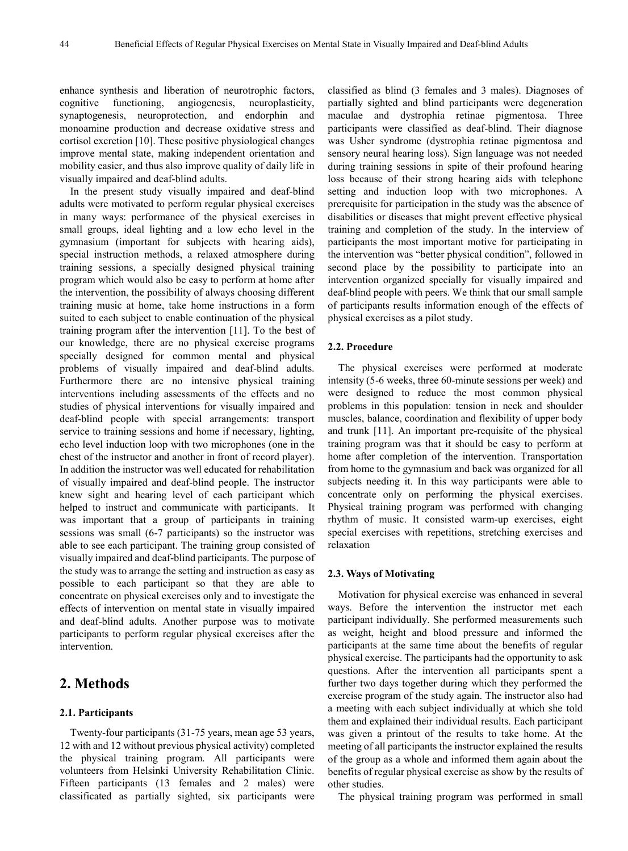enhance synthesis and liberation of neurotrophic factors, cognitive functioning, angiogenesis, neuroplasticity, synaptogenesis, neuroprotection, and endorphin and monoamine production and decrease oxidative stress and cortisol excretion [10]. These positive physiological changes improve mental state, making independent orientation and mobility easier, and thus also improve quality of daily life in visually impaired and deaf-blind adults.

In the present study visually impaired and deaf-blind adults were motivated to perform regular physical exercises in many ways: performance of the physical exercises in small groups, ideal lighting and a low echo level in the gymnasium (important for subjects with hearing aids), special instruction methods, a relaxed atmosphere during training sessions, a specially designed physical training program which would also be easy to perform at home after the intervention, the possibility of always choosing different training music at home, take home instructions in a form suited to each subject to enable continuation of the physical training program after the intervention [11]. To the best of our knowledge, there are no physical exercise programs specially designed for common mental and physical problems of visually impaired and deaf-blind adults. Furthermore there are no intensive physical training interventions including assessments of the effects and no studies of physical interventions for visually impaired and deaf-blind people with special arrangements: transport service to training sessions and home if necessary, lighting, echo level induction loop with two microphones (one in the chest of the instructor and another in front of record player). In addition the instructor was well educated for rehabilitation of visually impaired and deaf-blind people. The instructor knew sight and hearing level of each participant which helped to instruct and communicate with participants. It was important that a group of participants in training sessions was small (6-7 participants) so the instructor was able to see each participant. The training group consisted of visually impaired and deaf-blind participants. The purpose of the study was to arrange the setting and instruction as easy as possible to each participant so that they are able to concentrate on physical exercises only and to investigate the effects of intervention on mental state in visually impaired and deaf-blind adults. Another purpose was to motivate participants to perform regular physical exercises after the intervention.

## **2. Methods**

#### **2.1. Participants**

Twenty-four participants (31-75 years, mean age 53 years, 12 with and 12 without previous physical activity) completed the physical training program. All participants were volunteers from Helsinki University Rehabilitation Clinic. Fifteen participants (13 females and 2 males) were classificated as partially sighted, six participants were

classified as blind (3 females and 3 males). Diagnoses of partially sighted and blind participants were degeneration maculae and dystrophia retinae pigmentosa. Three participants were classified as deaf-blind. Their diagnose was Usher syndrome (dystrophia retinae pigmentosa and sensory neural hearing loss). Sign language was not needed during training sessions in spite of their profound hearing loss because of their strong hearing aids with telephone setting and induction loop with two microphones. A prerequisite for participation in the study was the absence of disabilities or diseases that might prevent effective physical training and completion of the study. In the interview of participants the most important motive for participating in the intervention was "better physical condition", followed in second place by the possibility to participate into an intervention organized specially for visually impaired and deaf-blind people with peers. We think that our small sample of participants results information enough of the effects of physical exercises as a pilot study.

#### **2.2. Procedure**

The physical exercises were performed at moderate intensity (5-6 weeks, three 60-minute sessions per week) and were designed to reduce the most common physical problems in this population: tension in neck and shoulder muscles, balance, coordination and flexibility of upper body and trunk [11]. An important pre-requisite of the physical training program was that it should be easy to perform at home after completion of the intervention. Transportation from home to the gymnasium and back was organized for all subjects needing it. In this way participants were able to concentrate only on performing the physical exercises. Physical training program was performed with changing rhythm of music. It consisted warm-up exercises, eight special exercises with repetitions, stretching exercises and relaxation

#### **2.3. Ways of Motivating**

Motivation for physical exercise was enhanced in several ways. Before the intervention the instructor met each participant individually. She performed measurements such as weight, height and blood pressure and informed the participants at the same time about the benefits of regular physical exercise. The participants had the opportunity to ask questions. After the intervention all participants spent a further two days together during which they performed the exercise program of the study again. The instructor also had a meeting with each subject individually at which she told them and explained their individual results. Each participant was given a printout of the results to take home. At the meeting of all participants the instructor explained the results of the group as a whole and informed them again about the benefits of regular physical exercise as show by the results of other studies.

The physical training program was performed in small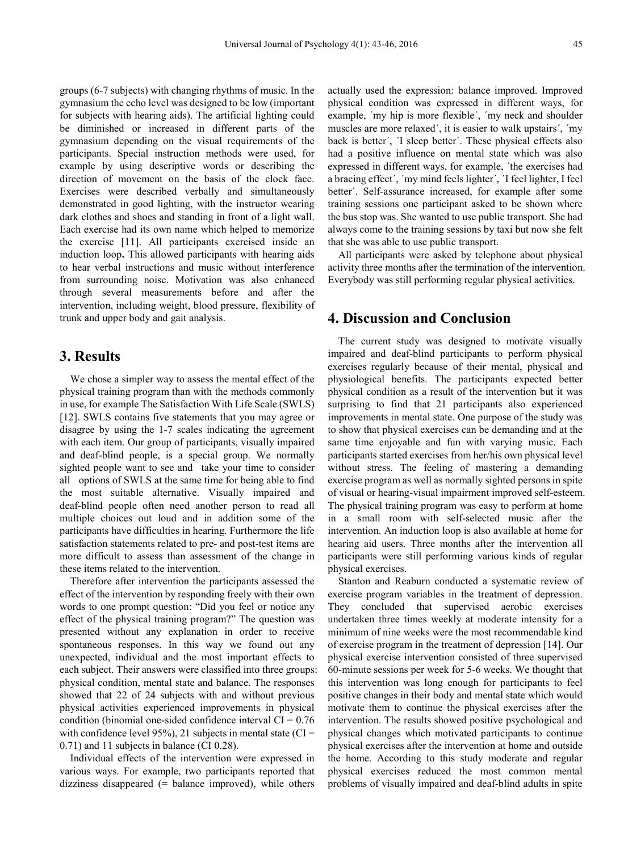groups (6-7 subjects) with changing rhythms of music. In the gymnasium the echo level was designed to be low (important for subjects with hearing aids). The artificial lighting could be diminished or increased in different parts of the gymnasium depending on the visual requirements of the participants. Special instruction methods were used, for example by using descriptive words or describing the direction of movement on the basis of the clock face. Exercises were described verbally and simultaneously demonstrated in good lighting, with the instructor wearing dark clothes and shoes and standing in front of a light wall. Each exercise had its own name which helped to memorize the exercise [11]. All participants exercised inside an induction loop**.** This allowed participants with hearing aids to hear verbal instructions and music without interference from surrounding noise. Motivation was also enhanced through several measurements before and after the intervention, including weight, blood pressure, flexibility of trunk and upper body and gait analysis.

## **3. Results**

We chose a simpler way to assess the mental effect of the physical training program than with the methods commonly in use, for example The Satisfaction With Life Scale (SWLS) [12]. SWLS contains five statements that you may agree or disagree by using the 1-7 scales indicating the agreement with each item. Our group of participants, visually impaired and deaf-blind people, is a special group. We normally sighted people want to see and take your time to consider all options of SWLS at the same time for being able to find the most suitable alternative. Visually impaired and deaf-blind people often need another person to read all multiple choices out loud and in addition some of the participants have difficulties in hearing. Furthermore the life satisfaction statements related to pre- and post-test items are more difficult to assess than assessment of the change in these items related to the intervention.

Therefore after intervention the participants assessed the effect of the intervention by responding freely with their own words to one prompt question: "Did you feel or notice any effect of the physical training program?" The question was presented without any explanation in order to receive spontaneous responses. In this way we found out any unexpected, individual and the most important effects to each subject. Their answers were classified into three groups: physical condition, mental state and balance. The responses showed that 22 of 24 subjects with and without previous physical activities experienced improvements in physical condition (binomial one-sided confidence interval  $CI = 0.76$ with confidence level 95%), 21 subjects in mental state (CI = 0.71) and 11 subjects in balance (CI 0.28).

Individual effects of the intervention were expressed in various ways. For example, two participants reported that dizziness disappeared (= balance improved), while others

actually used the expression: balance improved. Improved physical condition was expressed in different ways, for example, ´my hip is more flexible´, ´my neck and shoulder muscles are more relaxed´, it is easier to walk upstairs´, ´my back is better´, ´I sleep better´. These physical effects also had a positive influence on mental state which was also expressed in different ways, for example, ´the exercises had a bracing effect´, ´my mind feels lighter´, ´I feel lighter, I feel better´. Self-assurance increased, for example after some training sessions one participant asked to be shown where the bus stop was. She wanted to use public transport. She had always come to the training sessions by taxi but now she felt that she was able to use public transport.

All participants were asked by telephone about physical activity three months after the termination of the intervention. Everybody was still performing regular physical activities.

### **4. Discussion and Conclusion**

The current study was designed to motivate visually impaired and deaf-blind participants to perform physical exercises regularly because of their mental, physical and physiological benefits. The participants expected better physical condition as a result of the intervention but it was surprising to find that 21 participants also experienced improvements in mental state. One purpose of the study was to show that physical exercises can be demanding and at the same time enjoyable and fun with varying music. Each participants started exercises from her/his own physical level without stress. The feeling of mastering a demanding exercise program as well as normally sighted persons in spite of visual or hearing-visual impairment improved self-esteem. The physical training program was easy to perform at home in a small room with self-selected music after the intervention. An induction loop is also available at home for hearing aid users. Three months after the intervention all participants were still performing various kinds of regular physical exercises.

Stanton and Reaburn conducted a systematic review of exercise program variables in the treatment of depression. They concluded that supervised aerobic exercises undertaken three times weekly at moderate intensity for a minimum of nine weeks were the most recommendable kind of exercise program in the treatment of depression [14]. Our physical exercise intervention consisted of three supervised 60-minute sessions per week for 5-6 weeks. We thought that this intervention was long enough for participants to feel positive changes in their body and mental state which would motivate them to continue the physical exercises after the intervention. The results showed positive psychological and physical changes which motivated participants to continue physical exercises after the intervention at home and outside the home. According to this study moderate and regular physical exercises reduced the most common mental problems of visually impaired and deaf-blind adults in spite